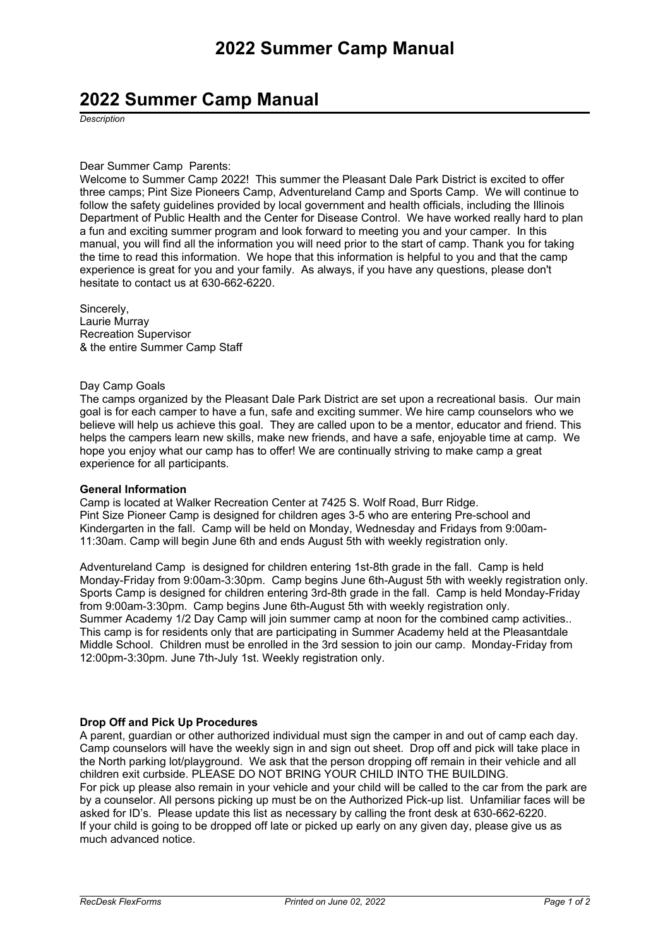## **2022 Summer Camp Manual**

*Description*

#### Dear Summer Camp Parents:

Welcome to Summer Camp 2022! This summer the Pleasant Dale Park District is excited to offer three camps; Pint Size Pioneers Camp, Adventureland Camp and Sports Camp. We will continue to follow the safety quidelines provided by local government and health officials, including the Illinois Department of Public Health and the Center for Disease Control. We have worked really hard to plan <sup>a</sup> fun and exciting summer program and look forward to meeting you and your camper. In this manual, you will find all the information you will need prior to the start of camp. Thank you for taking the time to read this information. We hope that this information is helpful to you and that the camp experience is great for you and your family. As always, if you have any questions, please don't hesitate to contact us at 630-662-6220.

Sincerely, Laurie Murray Recreation Supervisor & the entire Summer Camp Staff

#### Day Camp Goals

The camps organized by the Pleasant Dale Park District are set upon <sup>a</sup> recreational basis. Our main goal is for each camper to have <sup>a</sup> fun, safe and exciting summer. We hire camp counselors who we believe will help us achieve this goal. They are called upon to be <sup>a</sup> mentor, educator and friend. This helps the campers learn new skills, make new friends, and have <sup>a</sup> safe, enjoyable time at camp. We hope you enjoy what our camp has to offer! We are continually striving to make camp <sup>a</sup> great experience for all participants.

## **General Information**

Camp is located at Walker Recreation Center at <sup>7425</sup> S. Wolf Road, Burr Ridge. Pint Size Pioneer Camp is designed for children ages 3-5 who are entering Pre-school and Kindergarten in the fall. Camp will be held on Monday, Wednesday and Fridays from 9:00am-11:30am. Camp will begin June 6th and ends August 5th with weekly registration only.

Adventureland Camp is designed for children entering 1st-8th grade in the fall. Camp is held Monday-Friday from 9:00am-3:30pm. Camp begins June 6th-August 5th with weekly registration only. Sports Camp is designed for children entering 3rd-8th grade in the fall. Camp is held Monday-Friday from 9:00am-3:30pm. Camp begins June 6th-August 5th with weekly registration only. Summer Academy 1/2 Day Camp will join summer camp at noon for the combined camp activities.. This camp is for residents only that are participating in Summer Academy held at the Pleasantdale Middle School. Children must be enrolled in the 3rd session to join our camp. Monday-Friday from 12:00pm-3:30pm. June 7th-July 1st. Weekly registration only.

## **Drop Off and Pick Up Procedures**

<sup>A</sup> parent, guardian or other authorized individual must sign the camper in and out of camp each day. Camp counselors will have the weekly sign in and sign out sheet. Drop off and pick will take place in the North parking lot/playground. We ask that the person dropping off remain in their vehicle and all children exit curbside. PLEASE DO NOT BRING YOUR CHILD INTO THE BUILDING. For pick up please also remain in your vehicle and your child will be called to the car from the park are by <sup>a</sup> counselor. All persons picking up must be on the Authorized Pick-up list. Unfamiliar faces will be asked for ID's. Please update this list as necessary by calling the front desk at 630-662-6220. If your child is going to be dropped off late or picked up early on any given day, please give us as much advanced notice.